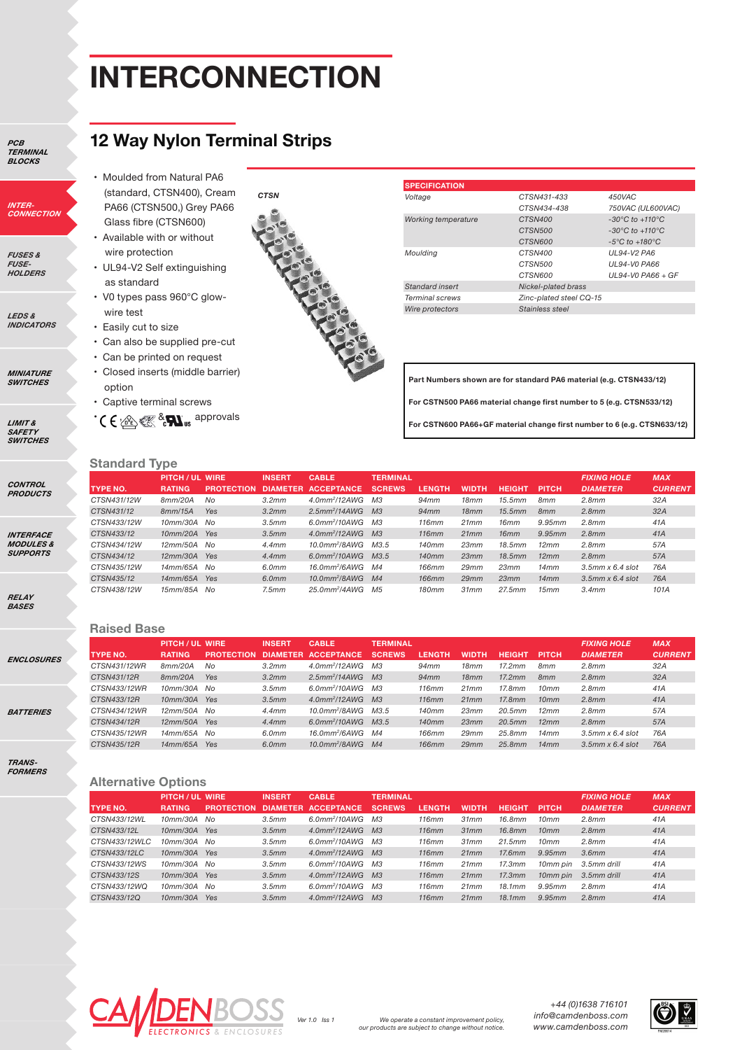## **INTERCONNECTION**

*PCB TERMINAL BLOCKS*

*INTER-CONNECTION*

*FUSES & FUSE-HOLDERS*

*LEDS & INDICATORS*

*MINIATURE SWITCHES*

*LIMIT & SAFETY SWITCHES*

*CONTROL PRODUCTS*

*INTERFACE MODULES & SUPPORTS*

*RELAY BASES*

*ENCLOSURES*

**BATTE** 

*TRANS-FORMERS*

### **12 Way Nylon Terminal Strips**

- Moulded from Natural PA6 (standard, CTSN400), Cream PA66 (CTSN500,) Grey PA66 Glass fibre (CTSN600) • Available with or without
- wire protection • UL94-V2 Self extinguishing
- as standard • V0 types pass 960°C glow-
- wire test
- Easily cut to size
- Can also be supplied pre-cut
- Can be printed on request
- Closed inserts (middle barrier) option
- Captive terminal screws

 $\cdot$  (  $\leftarrow$   $\mathbb{R}$   $\mathbb{R}$   $\mathbb{R}$   $\mathbb{N}$ <sub>us</sub> approvals



| <b>SPECIFICATION</b>       |                         |                                     |
|----------------------------|-------------------------|-------------------------------------|
| Voltage                    | CTSN431-433             | 450VAC                              |
|                            | CTSN434-438             | 750VAC (UL600VAC)                   |
| <b>Working temperature</b> | CTSN400                 | $-30^{\circ}$ C to $+110^{\circ}$ C |
|                            | CTSN500                 | $-30^{\circ}$ C to $+110^{\circ}$ C |
|                            | CTSN600                 | $-5^{\circ}$ C to $+180^{\circ}$ C  |
| Mouldina                   | CTSN400                 | UL94-V2 PA6                         |
|                            | CTSN500                 | <b>UL94-VO PA66</b>                 |
|                            | CTSN600                 | $UL94-V0$ PA66 + GF                 |
| Standard insert            | Nickel-plated brass     |                                     |
| <b>Terminal screws</b>     | Zinc-plated steel CQ-15 |                                     |
| Wire protectors            | Stainless steel         |                                     |

**Part Numbers shown are for standard PA6 material (e.g. CTSN433/12) For CSTN500 PA66 material change first number to 5 (e.g. CTSN533/12)**

**For CSTN600 PA66+GF material change first number to 6 (e.g. CTSN633/12)**

### **Standard Type**

|                 | <b>PITCH / UL WIRE</b> |                   | <b>INSERT</b>   |                              |                 |               |              |               |                 |                            |                |
|-----------------|------------------------|-------------------|-----------------|------------------------------|-----------------|---------------|--------------|---------------|-----------------|----------------------------|----------------|
|                 |                        |                   |                 | <b>CABLE</b>                 | <b>TERMINAL</b> |               |              |               |                 | <b>FIXING HOLE</b>         | <b>MAX</b>     |
| <b>TYPE NO.</b> | <b>RATING</b>          | <b>PROTECTION</b> | <b>DIAMETER</b> | <b>ACCEPTANCE</b>            | <b>SCREWS</b>   | <b>LENGTH</b> | <b>WIDTH</b> | <b>HEIGHT</b> | <b>PITCH</b>    | <b>DIAMETER</b>            | <b>CURRENT</b> |
| CTSN431/12W     | 8mm/20A                | No                | 3.2mm           | $4.0$ mm <sup>2</sup> /12AWG | M <sub>3</sub>  | 94mm          | 18mm         | 15.5mm        | 8mm             | 2.8mm                      | 32A            |
| CTSN431/12      | 8mm/15A                | Yes               | 3.2mm           | $2.5$ mm <sup>2</sup> /14AWG | M <sub>3</sub>  | 94mm          | 18mm         | 15.5mm        | 8 <sub>mm</sub> | 2.8mm                      | 32A            |
| CTSN433/12W     | 10mm/30A No            |                   | 3.5mm           | $6.0$ mm <sup>2</sup> /10AWG | МЗ              | 116mm         | 21mm         | 16mm          | 9.95mm          | 2.8mm                      | 41A            |
| CTSN433/12      | $10mm/20A$ Yes         |                   | 3.5mm           | $4.0$ mm <sup>2</sup> /12AWG | M3              | 116mm         | 21mm         | 16mm          | 9.95mm          | 2.8mm                      | 41A            |
| CTSN434/12W     | 12mm/50A No            |                   | 4.4mm           | $10.0$ mm <sup>2</sup> /8AWG | M3.5            | 140mm         | 23mm         | 18.5mm        | 12mm            | 2.8mm                      | 57A            |
| CTSN434/12      | $12mm/30A$ Yes         |                   | 4.4mm           | $6.0$ mm <sup>2</sup> /10AWG | M3.5            | 140mm         | 23mm         | 18.5mm        | 12mm            | 2.8mm                      | 57A            |
| CTSN435/12W     | 14mm/65A No            |                   | 6.0mm           | 16.0mm <sup>2</sup> /6AWG    | M4              | <b>166mm</b>  | 29mm         | 23mm          | 14mm            | $3.5$ mm $\times$ 6.4 slot | 76A            |
| CTSN435/12      | 14mm/65A Yes           |                   | 6.0mm           | $10.0$ mm <sup>2</sup> /8AWG | M4              | <b>166mm</b>  | 29mm         | 23mm          | 14mm            | $3.5$ mm $\times$ 6.4 slot | 76A            |
| CTSN438/12W     | 15mm/85A No            |                   | 7.5mm           | 25.0mm <sup>2</sup> /4AWG    | M <sub>5</sub>  | <b>180mm</b>  | 31mm         | 27.5mm        | 15mm            | 3.4mm                      | 101A           |

#### **Raised Base**

|       |                 | <b>PITCH/UL WIRE</b> |                   | <b>INSERT</b> | <b>CABLE</b>                      | <b>TERMINAL</b> |               |              |               |                 | <b>FIXING HOLE</b>         | <b>MAX</b>     |
|-------|-----------------|----------------------|-------------------|---------------|-----------------------------------|-----------------|---------------|--------------|---------------|-----------------|----------------------------|----------------|
|       | <b>TYPE NO.</b> | <b>RATING</b>        | <b>PROTECTION</b> |               | DIAMETER ACCEPTANCE               | <b>SCREWS</b>   | <b>LENGTH</b> | <b>WIDTH</b> | <b>HEIGHT</b> | <b>PITCH</b>    | <b>DIAMETER</b>            | <b>CURRENT</b> |
| SURES | CTSN431/12WR    | 8mm/20A              | No                | 3.2mm         | $4.0$ mm <sup>2</sup> /12AWG M3   |                 | 94mm          | 18mm         | 17.2mm        | 8mm             | 2.8mm                      | 32A            |
|       | CTSN431/12R     | 8mm/20A              | Yes               | 3.2mm         | $2.5$ mm <sup>2</sup> /14AWG M3   |                 | 94mm          | 18mm         | 17.2mm        | 8 <sub>mm</sub> | 2.8mm                      | 32A            |
|       | CTSN433/12WR    | 10mm/30A No          |                   | 3.5mm         | $6.0$ mm <sup>2</sup> /10AWG M3   |                 | 116mm         | 21mm         | 17.8mm        | 10mm            | 2.8mm                      | 41A            |
|       | CTSN433/12R     | 10mm/30A Yes         |                   | 3.5mm         | $4.0$ mm <sup>2</sup> /12AWG M3   |                 | 116mm         | 21mm         | 17.8mm        | 10mm            | 2.8mm                      | 41A            |
|       | CTSN434/12WR    | $12mm/50A$ No        |                   | 4.4mm         | 10.0mm <sup>2</sup> /8AWG M3.5    |                 | 140mm         | 23mm         | 20.5mm        | 12mm            | 2.8mm                      | 57A            |
|       | CTSN434/12R     | 12mm/50A Yes         |                   | 4.4mm         | $6.0$ mm <sup>2</sup> /10AWG M3.5 |                 | 140mm         | 23mm         | 20.5mm        | 12mm            | 2.8mm                      | 57A            |
|       | CTSN435/12WR    | 14mm/65A No          |                   | 6.0mm         | 16.0mm <sup>2</sup> /6AWG M4      |                 | <b>166mm</b>  | 29mm         | 25.8mm        | 14mm            | $3.5$ mm $\times$ 6.4 slot | 76A            |
|       | CTSN435/12R     | 14mm/65A Yes         |                   | 6.0mm         | 10.0mm <sup>2</sup> /8AWG M4      |                 | <b>166mm</b>  | 29mm         | 25.8mm        | 14mm            | $3.5$ mm $\times$ 6.4 slot | 76A            |
|       |                 |                      |                   |               |                                   |                 |               |              |               |                 |                            |                |

#### **Alternative Options**

|               | <b>PITCH / UL WIRE</b> |                   | <b>INSERT</b>   | <b>CABLE</b>                 | <b>TERMINAL</b> |               | <b>FIXING HOLE</b> | <b>MAX</b>    |                  |                 |                |
|---------------|------------------------|-------------------|-----------------|------------------------------|-----------------|---------------|--------------------|---------------|------------------|-----------------|----------------|
| TYPE NO.      | <b>RATING</b>          | <b>PROTECTION</b> | <b>DIAMETER</b> | <b>ACCEPTANCE</b>            | <b>SCREWS</b>   | <b>LENGTH</b> | <b>WIDTH</b>       | <b>HEIGHT</b> | <b>PITCH</b>     | <b>DIAMETER</b> | <b>CURRENT</b> |
| CTSN433/12WL  | 10mm/30A No            |                   | 3.5mm           | $6.0$ mm <sup>2</sup> /10AWG | M <sub>3</sub>  | 116mm         | 31mm               | 16.8mm        | 10 <sub>mm</sub> | 2.8mm           | 41A            |
| CTSN433/12L   | 10mm/30A Yes           |                   | 3.5mm           | $4.0$ mm <sup>2</sup> /12AWG | M <sub>3</sub>  | 116mm         | 31mm               | 16.8mm        | 10 <sub>mm</sub> | 2.8mm           | 41A            |
| CTSN433/12WLC | 10mm/30A No            |                   | 3.5mm           | $6.0$ mm <sup>2</sup> /10AWG | M <sub>3</sub>  | 116mm         | 31mm               | 21.5mm        | 10 <sub>mm</sub> | 2.8mm           | 41A            |
| CTSN433/12LC  | 10mm/30A Yes           |                   | 3.5mm           | $4.0$ mm <sup>2</sup> /12AWG | M <sub>3</sub>  | 116mm         | 21mm               | 17.6mm        | 9.95mm           | 3.6mm           | 41A            |
| CTSN433/12WS  | 10mm/30A No            |                   | 3.5mm           | $6.0$ mm <sup>2</sup> /10AWG | M <sub>3</sub>  | 116mm         | 21mm               | 17.3mm        | 10mm pin         | 3.5mm drill     | 41A            |
| CTSN433/12S   | 10mm/30A Yes           |                   | 3.5mm           | $4.0$ mm <sup>2</sup> /12AWG | M <sub>3</sub>  | 116mm         | 21mm               | 17.3mm        | 10mm pin         | 3.5mm drill     | 41A            |
| CTSN433/12WQ  | 10mm/30A No            |                   | 3.5mm           | $6.0$ mm <sup>2</sup> /10AWG | M <sub>3</sub>  | 116mm         | 21mm               | 18.1mm        | 9.95mm           | 2.8mm           | 41A            |
| CTSN433/12Q   | 10mm/30A               | Yes               | 3.5mm           | $4.0$ mm <sup>2</sup> /12AWG | M <sub>3</sub>  | 116mm         | 21mm               | 18.1mm        | 9.95mm           | 2.8mm           | 41A            |



*+44 (0)1638 716101 info@camdenboss.com*